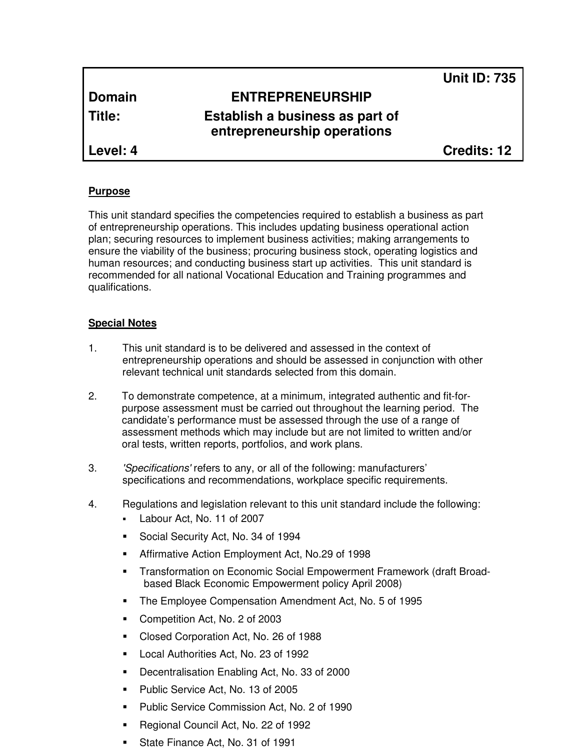**Unit ID: 735**

# **Domain ENTREPRENEURSHIP**

**Title: Establish a business as part of entrepreneurship operations**

**Level: 4 Credits: 12**

# **Purpose**

This unit standard specifies the competencies required to establish a business as part of entrepreneurship operations. This includes updating business operational action plan; securing resources to implement business activities; making arrangements to ensure the viability of the business; procuring business stock, operating logistics and human resources; and conducting business start up activities. This unit standard is recommended for all national Vocational Education and Training programmes and qualifications.

# **Special Notes**

- 1. This unit standard is to be delivered and assessed in the context of entrepreneurship operations and should be assessed in conjunction with other relevant technical unit standards selected from this domain.
- 2. To demonstrate competence, at a minimum, integrated authentic and fit-forpurpose assessment must be carried out throughout the learning period. The candidate's performance must be assessed through the use of a range of assessment methods which may include but are not limited to written and/or oral tests, written reports, portfolios, and work plans.
- 3. 'Specifications' refers to any, or all of the following: manufacturers' specifications and recommendations, workplace specific requirements.
- 4. Regulations and legislation relevant to this unit standard include the following:
	- Labour Act, No. 11 of 2007
	- Social Security Act, No. 34 of 1994
	- Affirmative Action Employment Act, No.29 of 1998
	- Transformation on Economic Social Empowerment Framework (draft Broadbased Black Economic Empowerment policy April 2008)
	- The Employee Compensation Amendment Act, No. 5 of 1995
	- Competition Act, No. 2 of 2003
	- Closed Corporation Act, No. 26 of 1988
	- **Local Authorities Act, No. 23 of 1992**
	- Decentralisation Enabling Act, No. 33 of 2000
	- **Public Service Act, No. 13 of 2005**
	- **Public Service Commission Act, No. 2 of 1990**
	- Regional Council Act, No. 22 of 1992
	- State Finance Act, No. 31 of 1991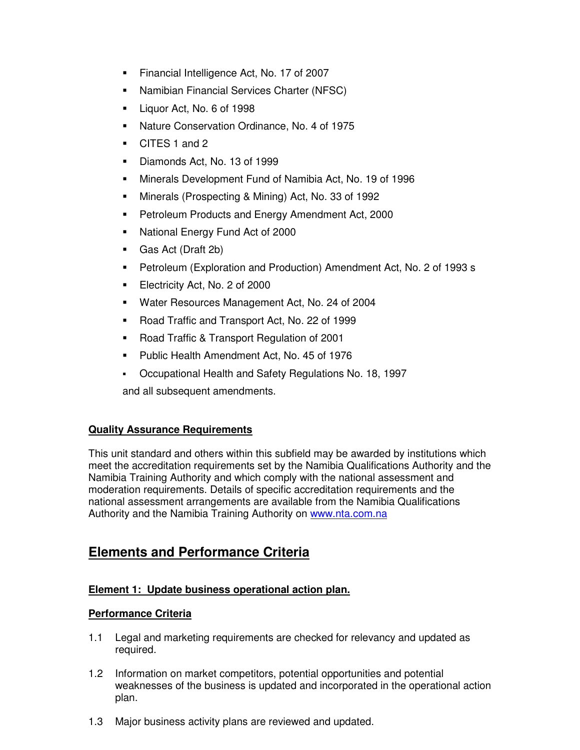- Financial Intelligence Act, No. 17 of 2007
- Namibian Financial Services Charter (NFSC)
- Liquor Act, No. 6 of 1998
- Nature Conservation Ordinance, No. 4 of 1975
- CITES 1 and 2
- Diamonds Act, No. 13 of 1999
- Minerals Development Fund of Namibia Act, No. 19 of 1996
- Minerals (Prospecting & Mining) Act, No. 33 of 1992
- **Petroleum Products and Energy Amendment Act, 2000**
- National Energy Fund Act of 2000
- Gas Act (Draft 2b)
- Petroleum (Exploration and Production) Amendment Act, No. 2 of 1993 s
- Electricity Act, No. 2 of 2000
- Water Resources Management Act, No. 24 of 2004
- Road Traffic and Transport Act, No. 22 of 1999
- Road Traffic & Transport Regulation of 2001
- **Public Health Amendment Act, No. 45 of 1976**
- Occupational Health and Safety Regulations No. 18, 1997

and all subsequent amendments.

# **Quality Assurance Requirements**

This unit standard and others within this subfield may be awarded by institutions which meet the accreditation requirements set by the Namibia Qualifications Authority and the Namibia Training Authority and which comply with the national assessment and moderation requirements. Details of specific accreditation requirements and the national assessment arrangements are available from the Namibia Qualifications Authority and the Namibia Training Authority on www.nta.com.na

# **Elements and Performance Criteria**

# **Element 1: Update business operational action plan.**

# **Performance Criteria**

- 1.1 Legal and marketing requirements are checked for relevancy and updated as required.
- 1.2 Information on market competitors, potential opportunities and potential weaknesses of the business is updated and incorporated in the operational action plan.
- 1.3 Major business activity plans are reviewed and updated.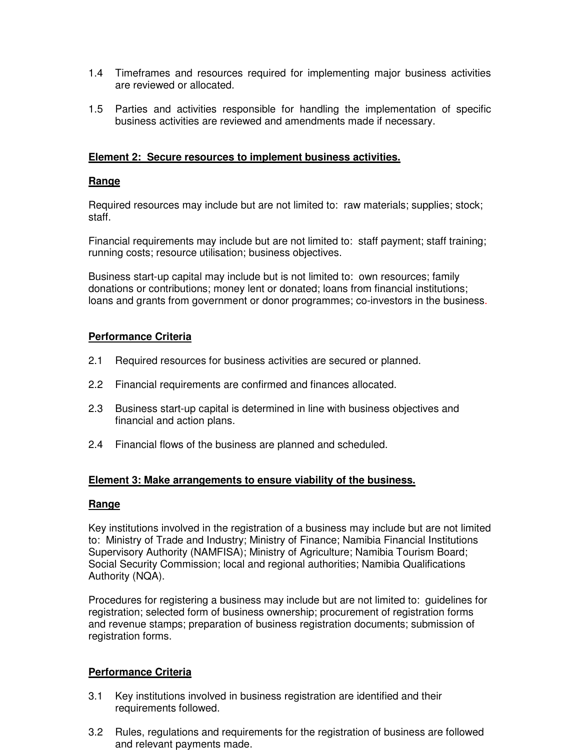- 1.4 Timeframes and resources required for implementing major business activities are reviewed or allocated.
- 1.5 Parties and activities responsible for handling the implementation of specific business activities are reviewed and amendments made if necessary.

#### **Element 2: Secure resources to implement business activities.**

#### **Range**

Required resources may include but are not limited to: raw materials; supplies; stock; staff.

Financial requirements may include but are not limited to: staff payment; staff training; running costs; resource utilisation; business objectives.

Business start-up capital may include but is not limited to: own resources; family donations or contributions; money lent or donated; loans from financial institutions; loans and grants from government or donor programmes; co-investors in the business.

#### **Performance Criteria**

- 2.1 Required resources for business activities are secured or planned.
- 2.2 Financial requirements are confirmed and finances allocated.
- 2.3 Business start-up capital is determined in line with business objectives and financial and action plans.
- 2.4 Financial flows of the business are planned and scheduled.

#### **Element 3: Make arrangements to ensure viability of the business.**

#### **Range**

Key institutions involved in the registration of a business may include but are not limited to: Ministry of Trade and Industry; Ministry of Finance; Namibia Financial Institutions Supervisory Authority (NAMFISA); Ministry of Agriculture; Namibia Tourism Board; Social Security Commission; local and regional authorities; Namibia Qualifications Authority (NQA).

Procedures for registering a business may include but are not limited to: guidelines for registration; selected form of business ownership; procurement of registration forms and revenue stamps; preparation of business registration documents; submission of registration forms.

#### **Performance Criteria**

- 3.1 Key institutions involved in business registration are identified and their requirements followed.
- 3.2 Rules, regulations and requirements for the registration of business are followed and relevant payments made.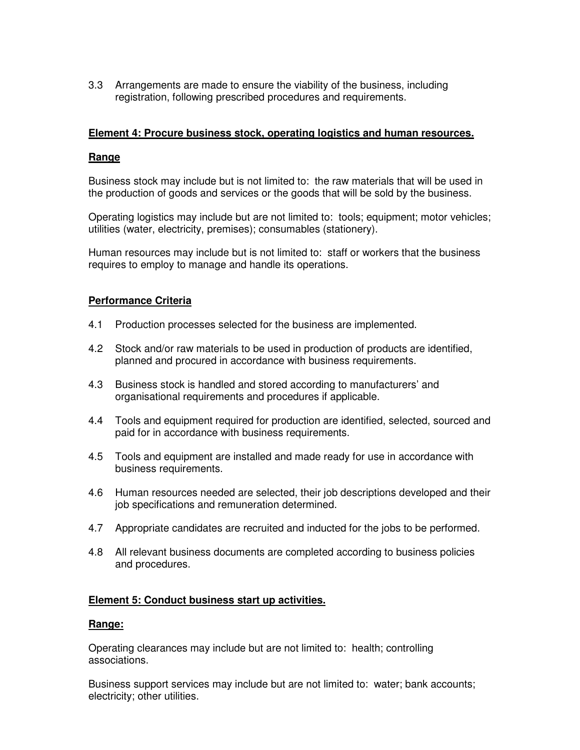3.3 Arrangements are made to ensure the viability of the business, including registration, following prescribed procedures and requirements.

#### **Element 4: Procure business stock, operating logistics and human resources.**

#### **Range**

Business stock may include but is not limited to: the raw materials that will be used in the production of goods and services or the goods that will be sold by the business.

Operating logistics may include but are not limited to: tools; equipment; motor vehicles; utilities (water, electricity, premises); consumables (stationery).

Human resources may include but is not limited to: staff or workers that the business requires to employ to manage and handle its operations.

#### **Performance Criteria**

- 4.1 Production processes selected for the business are implemented.
- 4.2 Stock and/or raw materials to be used in production of products are identified, planned and procured in accordance with business requirements.
- 4.3 Business stock is handled and stored according to manufacturers' and organisational requirements and procedures if applicable.
- 4.4 Tools and equipment required for production are identified, selected, sourced and paid for in accordance with business requirements.
- 4.5 Tools and equipment are installed and made ready for use in accordance with business requirements.
- 4.6 Human resources needed are selected, their job descriptions developed and their job specifications and remuneration determined.
- 4.7 Appropriate candidates are recruited and inducted for the jobs to be performed.
- 4.8 All relevant business documents are completed according to business policies and procedures.

#### **Element 5: Conduct business start up activities.**

#### **Range:**

Operating clearances may include but are not limited to: health; controlling associations.

Business support services may include but are not limited to: water; bank accounts; electricity; other utilities.